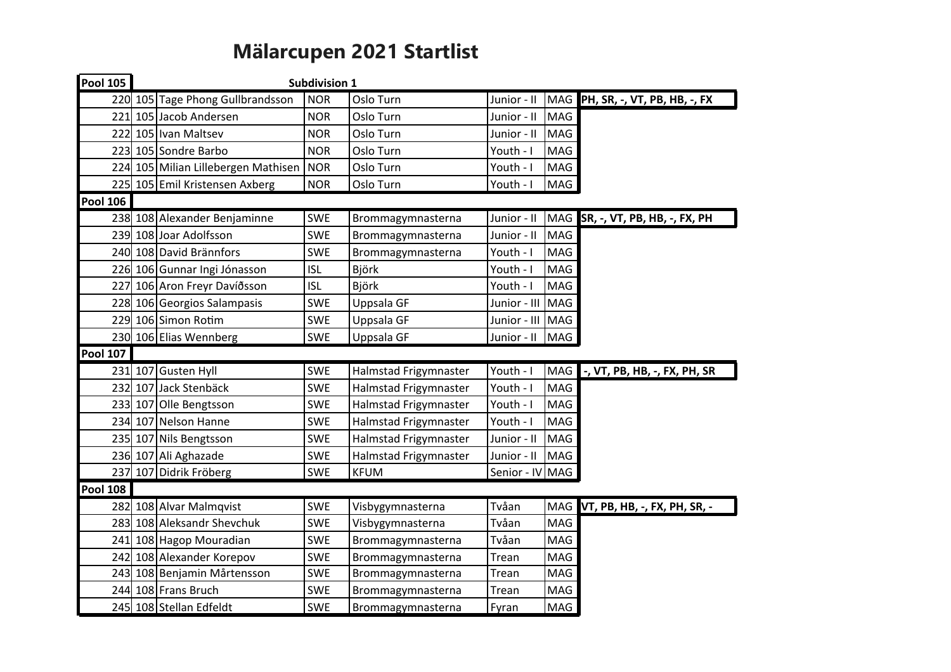## Mälarcupen 2021 Startlist

| <b>Pool 105</b> | <b>Subdivision 1</b> |                                     |            |                       |                 |            |                                  |
|-----------------|----------------------|-------------------------------------|------------|-----------------------|-----------------|------------|----------------------------------|
|                 |                      | 220 105 Tage Phong Gullbrandsson    | <b>NOR</b> | Oslo Turn             | Junior - II     |            | MAG PH, SR, -, VT, PB, HB, -, FX |
|                 |                      | 221 105 Jacob Andersen              | <b>NOR</b> | Oslo Turn             | Junior - II     | MAG        |                                  |
|                 |                      | 222 105 Ivan Maltsev                | <b>NOR</b> | Oslo Turn             | Junior - II     | MAG        |                                  |
|                 |                      | 223 105 Sondre Barbo                | <b>NOR</b> | Oslo Turn             | Youth - I       | MAG        |                                  |
|                 |                      | 224 105 Milian Lillebergen Mathisen | NOR        | Oslo Turn             | Youth - I       | MAG        |                                  |
|                 |                      | 225 105 Emil Kristensen Axberg      | <b>NOR</b> | Oslo Turn             | Youth - I       | MAG        |                                  |
| <b>Pool 106</b> |                      |                                     |            |                       |                 |            |                                  |
|                 |                      | 238 108 Alexander Benjaminne        | <b>SWE</b> | Brommagymnasterna     | Junior - II     | MAG        | SR, -, VT, PB, HB, -, FX, PH     |
|                 |                      | 239 108 Joar Adolfsson              | <b>SWE</b> | Brommagymnasterna     | Junior - II     | MAG        |                                  |
|                 |                      | 240 108 David Brännfors             | <b>SWE</b> | Brommagymnasterna     | Youth - I       | MAG        |                                  |
|                 |                      | 226 106 Gunnar Ingi Jónasson        | <b>ISL</b> | Björk                 | Youth - I       | MAG        |                                  |
|                 |                      | 227 106 Aron Freyr Davíðsson        | <b>ISL</b> | Björk                 | Youth - I       | MAG        |                                  |
|                 |                      | 228 106 Georgios Salampasis         | <b>SWE</b> | Uppsala GF            | Junior - III    | MAG        |                                  |
|                 |                      | 229 106 Simon Rotim                 | SWE        | Uppsala GF            | Junior - III    | MAG        |                                  |
|                 |                      | 230 106 Elias Wennberg              | SWE        | Uppsala GF            | Junior - II     | MAG        |                                  |
| <b>Pool 107</b> |                      |                                     |            |                       |                 |            |                                  |
|                 |                      | 231 107 Gusten Hyll                 | SWE        | Halmstad Frigymnaster | Youth - I       | MAG        | -, VT, PB, HB, -, FX, PH, SR     |
|                 |                      | 232 107 Jack Stenbäck               | <b>SWE</b> | Halmstad Frigymnaster | Youth - I       | MAG        |                                  |
|                 |                      | 233 107 Olle Bengtsson              | <b>SWE</b> | Halmstad Frigymnaster | Youth - I       | MAG        |                                  |
|                 |                      | 234 107 Nelson Hanne                | <b>SWE</b> | Halmstad Frigymnaster | Youth - I       | MAG        |                                  |
|                 |                      | 235 107 Nils Bengtsson              | SWE        | Halmstad Frigymnaster | Junior - II     | MAG        |                                  |
|                 |                      | 236 107 Ali Aghazade                | SWE        | Halmstad Frigymnaster | Junior - II     | <b>MAG</b> |                                  |
|                 |                      | 237 107 Didrik Fröberg              | <b>SWE</b> | <b>KFUM</b>           | Senior - IV MAG |            |                                  |
| <b>Pool 108</b> |                      |                                     |            |                       |                 |            |                                  |
|                 |                      | 282 108 Alvar Malmqvist             | <b>SWE</b> | Visbygymnasterna      | Tvåan           | MAG        | VT, PB, HB, -, FX, PH, SR, -     |
|                 |                      | 283 108 Aleksandr Shevchuk          | <b>SWE</b> | Visbygymnasterna      | Tvåan           | MAG        |                                  |
|                 |                      | 241 108 Hagop Mouradian             | <b>SWE</b> | Brommagymnasterna     | Tvåan           | MAG        |                                  |
|                 |                      | 242 108 Alexander Korepov           | <b>SWE</b> | Brommagymnasterna     | Trean           | MAG        |                                  |
|                 |                      | 243 108 Benjamin Mårtensson         | <b>SWE</b> | Brommagymnasterna     | Trean           | MAG        |                                  |
|                 |                      | 244 108 Frans Bruch                 | <b>SWE</b> | Brommagymnasterna     | Trean           | MAG        |                                  |
|                 |                      | 245 108 Stellan Edfeldt             | <b>SWE</b> | Brommagymnasterna     | Fyran           | MAG        |                                  |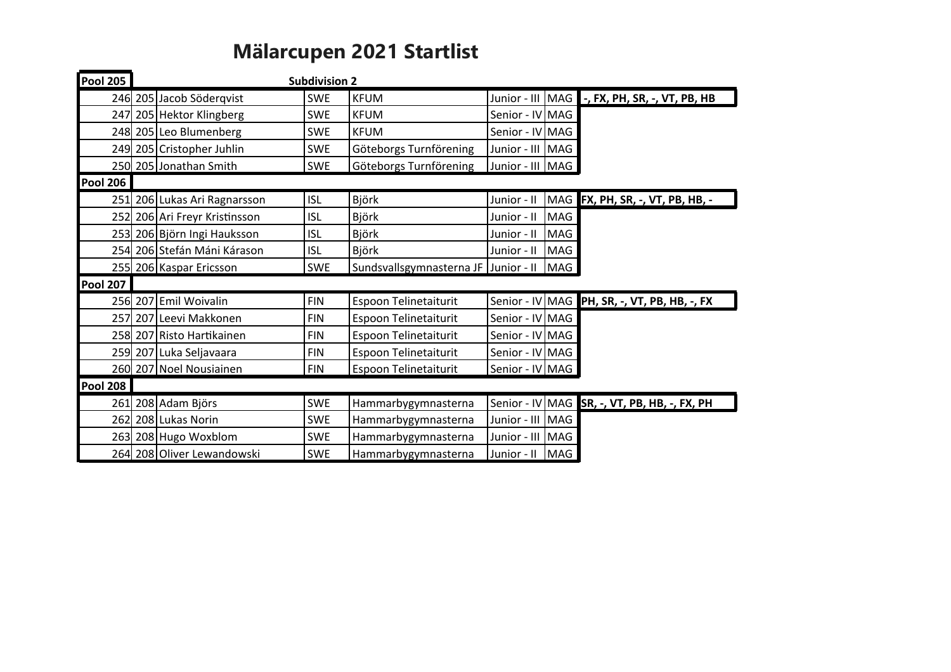## Mälarcupen 2021 Startlist

| <b>Pool 205</b> |                               | <b>Subdivision 2</b> |                                      |                  |            |                                              |
|-----------------|-------------------------------|----------------------|--------------------------------------|------------------|------------|----------------------------------------------|
|                 | 246 205 Jacob Söderqvist      | <b>SWE</b>           | <b>KFUM</b>                          | Junior - III     | MAG        | -, FX, PH, SR, -, VT, PB, HB                 |
|                 | 247 205 Hektor Klingberg      | <b>SWE</b>           | <b>KFUM</b>                          | Senior - IV MAG  |            |                                              |
|                 | 248 205 Leo Blumenberg        | <b>SWE</b>           | <b>KFUM</b>                          | Senior - IV MAG  |            |                                              |
|                 | 249 205 Cristopher Juhlin     | <b>SWE</b>           | Göteborgs Turnförening               | Junior - III MAG |            |                                              |
|                 | 250 205 Jonathan Smith        | <b>SWE</b>           | Göteborgs Turnförening               | Junior - III MAG |            |                                              |
| <b>Pool 206</b> |                               |                      |                                      |                  |            |                                              |
|                 | 251 206 Lukas Ari Ragnarsson  | <b>ISL</b>           | Björk                                | Junior - II      |            | MAG FX, PH, SR, -, VT, PB, HB, -             |
|                 | 252 206 Ari Freyr Kristinsson | <b>ISL</b>           | Björk                                | Junior - II      | MAG        |                                              |
|                 | 253 206 Björn Ingi Hauksson   | <b>ISL</b>           | <b>Björk</b>                         | Junior - II      | MAG        |                                              |
|                 | 254 206 Stefán Máni Kárason   | <b>ISL</b>           | Björk                                | Junior - II      | <b>MAG</b> |                                              |
|                 | 255 206 Kaspar Ericsson       | <b>SWE</b>           | Sundsvallsgymnasterna JF Junior - II |                  | MAG        |                                              |
| <b>Pool 207</b> |                               |                      |                                      |                  |            |                                              |
|                 | 256 207 Emil Woivalin         | <b>FIN</b>           | Espoon Telinetaiturit                |                  |            | Senior - IV MAG PH, SR, -, VT, PB, HB, -, FX |
|                 | 257 207 Leevi Makkonen        | <b>FIN</b>           | Espoon Telinetaiturit                | Senior - IV MAG  |            |                                              |
|                 | 258 207 Risto Hartikainen     | <b>FIN</b>           | Espoon Telinetaiturit                | Senior - IV MAG  |            |                                              |
|                 | 259 207 Luka Seljavaara       | <b>FIN</b>           | Espoon Telinetaiturit                | Senior - IV MAG  |            |                                              |
|                 | 260 207 Noel Nousiainen       | <b>FIN</b>           | Espoon Telinetaiturit                | Senior - IV MAG  |            |                                              |
| <b>Pool 208</b> |                               |                      |                                      |                  |            |                                              |
|                 | 261 208 Adam Björs            | <b>SWE</b>           | Hammarbygymnasterna                  |                  |            | Senior - IV MAG SR, -, VT, PB, HB, -, FX, PH |
|                 | 262 208 Lukas Norin           | <b>SWE</b>           | Hammarbygymnasterna                  | Junior - III MAG |            |                                              |
|                 | 263 208 Hugo Woxblom          | <b>SWE</b>           | Hammarbygymnasterna                  | Junior - III     | MAG        |                                              |
|                 | 264 208 Oliver Lewandowski    | <b>SWE</b>           | Hammarbygymnasterna                  | Junior - II      | MAG        |                                              |